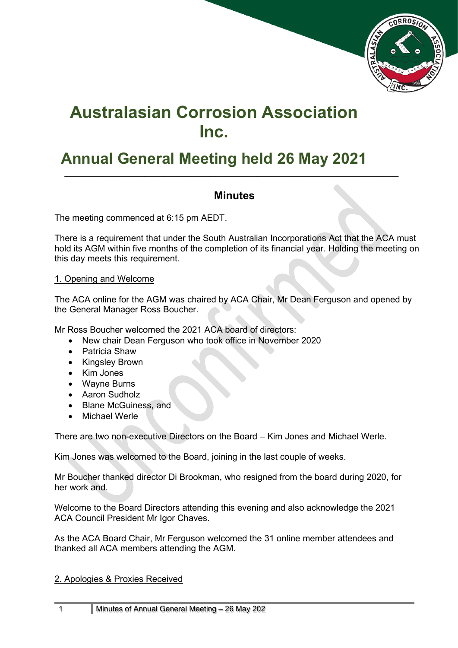

# **Australasian Corrosion Association Inc.**

## **Annual General Meeting held 26 May 2021**

### **Minutes**

 $\_$  , and the set of the set of the set of the set of the set of the set of the set of the set of the set of the set of the set of the set of the set of the set of the set of the set of the set of the set of the set of th

The meeting commenced at 6:15 pm AEDT.

There is a requirement that under the South Australian Incorporations Act that the ACA must hold its AGM within five months of the completion of its financial year. Holding the meeting on this day meets this requirement.

#### 1. Opening and Welcome

The ACA online for the AGM was chaired by ACA Chair, Mr Dean Ferguson and opened by the General Manager Ross Boucher.

Mr Ross Boucher welcomed the 2021 ACA board of directors:

- New chair Dean Ferguson who took office in November 2020
- Patricia Shaw
- Kingsley Brown
- Kim Jones
- Wayne Burns
- Aaron Sudholz
- Blane McGuiness, and
- Michael Werle

There are two non-executive Directors on the Board – Kim Jones and Michael Werle.

Kim Jones was welcomed to the Board, joining in the last couple of weeks.

Mr Boucher thanked director Di Brookman, who resigned from the board during 2020, for her work and.

Welcome to the Board Directors attending this evening and also acknowledge the 2021 ACA Council President Mr Igor Chaves.

As the ACA Board Chair, Mr Ferguson welcomed the 31 online member attendees and thanked all ACA members attending the AGM.

#### 2. Apologies & Proxies Received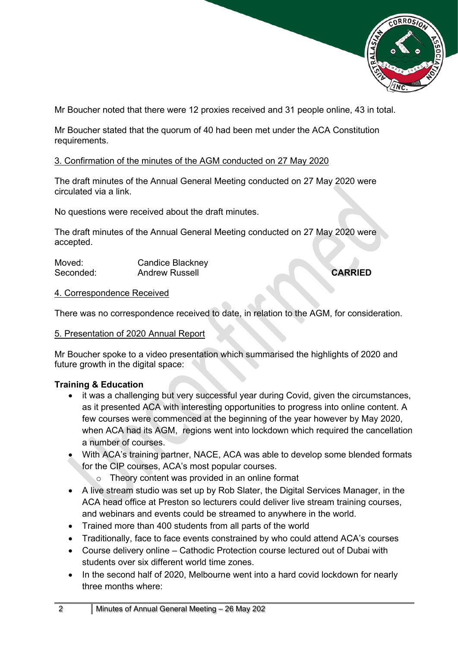

Mr Boucher noted that there were 12 proxies received and 31 people online, 43 in total.

Mr Boucher stated that the quorum of 40 had been met under the ACA Constitution requirements.

#### 3. Confirmation of the minutes of the AGM conducted on 27 May 2020

The draft minutes of the Annual General Meeting conducted on 27 May 2020 were circulated via a link.

No questions were received about the draft minutes.

The draft minutes of the Annual General Meeting conducted on 27 May 2020 were accepted.

| Moved:    | Candice Blackney |                |
|-----------|------------------|----------------|
| Seconded: | Andrew Russell   | <b>CARRIED</b> |

#### 4. Correspondence Received

There was no correspondence received to date, in relation to the AGM, for consideration.

#### 5. Presentation of 2020 Annual Report

Mr Boucher spoke to a video presentation which summarised the highlights of 2020 and future growth in the digital space:

#### **Training & Education**

- it was a challenging but very successful year during Covid, given the circumstances, as it presented ACA with interesting opportunities to progress into online content. A few courses were commenced at the beginning of the year however by May 2020, when ACA had its AGM, regions went into lockdown which required the cancellation a number of courses.
- With ACA's training partner, NACE, ACA was able to develop some blended formats for the CIP courses, ACA's most popular courses.
	- o Theory content was provided in an online format
- A live stream studio was set up by Rob Slater, the Digital Services Manager, in the ACA head office at Preston so lecturers could deliver live stream training courses, and webinars and events could be streamed to anywhere in the world.
- Trained more than 400 students from all parts of the world
- Traditionally, face to face events constrained by who could attend ACA's courses
- Course delivery online Cathodic Protection course lectured out of Dubai with students over six different world time zones.
- In the second half of 2020, Melbourne went into a hard covid lockdown for nearly three months where: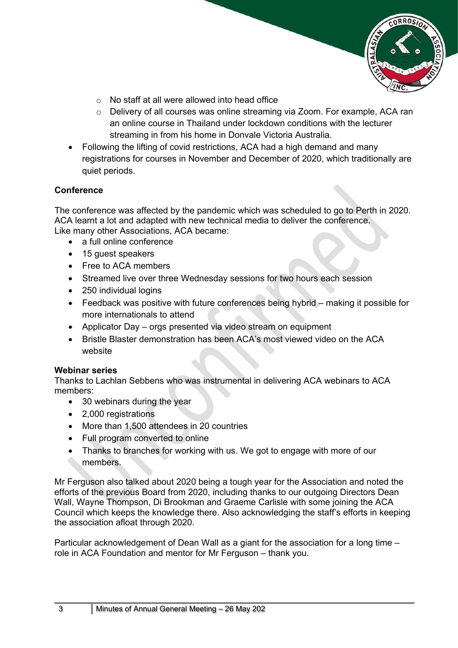

- $\circ$  No staff at all were allowed into head office
- o Delivery of all courses was online streaming via Zoom. For example, ACA ran an online course in Thailand under lockdown conditions with the lecturer streaming in from his home in Donvale Victoria Australia.
- Following the lifting of covid restrictions, ACA had a high demand and many registrations for courses in November and December of 2020, which traditionally are quiet periods.

#### **Conference**

The conference was affected by the pandemic which was scheduled to go to Perth in 2020. ACA learnt a lot and adapted with new technical media to deliver the conference. Like many other Associations, ACA became:

- a full online conference
- 15 quest speakers
- Free to ACA members
- Streamed live over three Wednesday sessions for two hours each session
- 250 individual logins
- Feedback was positive with future conferences being hybrid making it possible for more internationals to attend
- Applicator Day orgs presented via video stream on equipment
- Bristle Blaster demonstration has been ACA's most viewed video on the ACA website

#### **Webinar series**

Thanks to Lachlan Sebbens who was instrumental in delivering ACA webinars to ACA members:

- 30 webinars during the year
- 2,000 registrations
- More than 1,500 attendees in 20 countries
- Full program converted to online
- Thanks to branches for working with us. We got to engage with more of our members.

Mr Ferguson also talked about 2020 being a tough year for the Association and noted the efforts of the previous Board from 2020, including thanks to our outgoing Directors Dean Wall, Wayne Thompson, Di Brookman and Graeme Carlisle with some joining the ACA Council which keeps the knowledge there. Also acknowledging the staff's efforts in keeping the association afloat through 2020.

Particular acknowledgement of Dean Wall as a giant for the association for a long time – role in ACA Foundation and mentor for Mr Ferguson – thank you.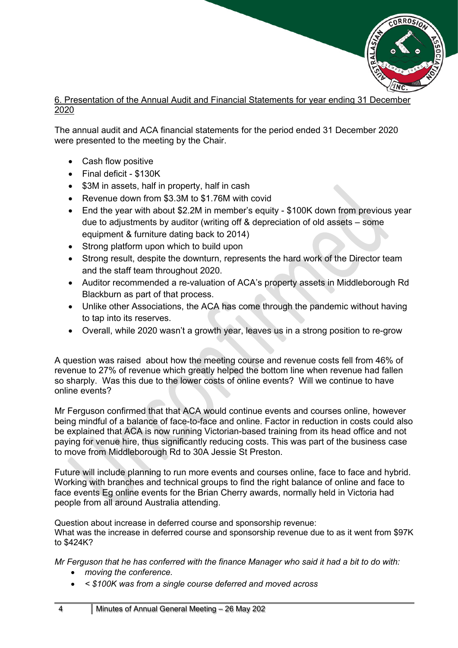

#### 6. Presentation of the Annual Audit and Financial Statements for year ending 31 December 2020

The annual audit and ACA financial statements for the period ended 31 December 2020 were presented to the meeting by the Chair.

- Cash flow positive
- Final deficit \$130K
- \$3M in assets, half in property, half in cash
- Revenue down from \$3.3M to \$1.76M with covid
- End the year with about \$2.2M in member's equity \$100K down from previous year due to adjustments by auditor (writing off & depreciation of old assets – some equipment & furniture dating back to 2014)
- Strong platform upon which to build upon
- Strong result, despite the downturn, represents the hard work of the Director team and the staff team throughout 2020.
- Auditor recommended a re-valuation of ACA's property assets in Middleborough Rd Blackburn as part of that process.
- Unlike other Associations, the ACA has come through the pandemic without having to tap into its reserves.
- Overall, while 2020 wasn't a growth year, leaves us in a strong position to re-grow

A question was raised about how the meeting course and revenue costs fell from 46% of revenue to 27% of revenue which greatly helped the bottom line when revenue had fallen so sharply. Was this due to the lower costs of online events? Will we continue to have online events?

Mr Ferguson confirmed that that ACA would continue events and courses online, however being mindful of a balance of face-to-face and online. Factor in reduction in costs could also be explained that ACA is now running Victorian-based training from its head office and not paying for venue hire, thus significantly reducing costs. This was part of the business case to move from Middleborough Rd to 30A Jessie St Preston.

Future will include planning to run more events and courses online, face to face and hybrid. Working with branches and technical groups to find the right balance of online and face to face events Eg online events for the Brian Cherry awards, normally held in Victoria had people from all around Australia attending.

Question about increase in deferred course and sponsorship revenue:

What was the increase in deferred course and sponsorship revenue due to as it went from \$97K to \$424K?

*Mr Ferguson that he has conferred with the finance Manager who said it had a bit to do with:* 

- *moving the conference.*
- *< \$100K was from a single course deferred and moved across*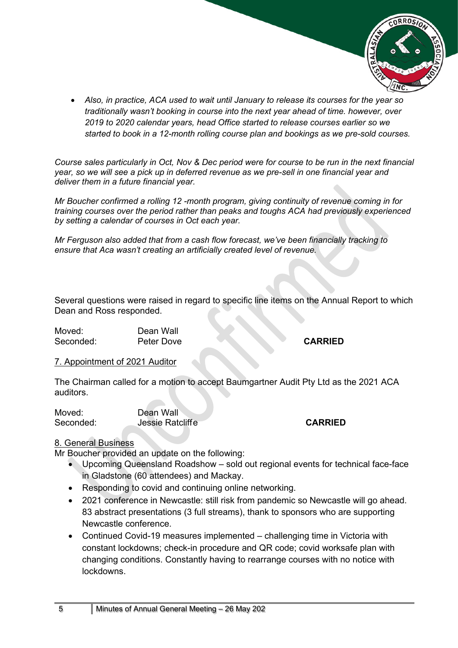

• *Also, in practice, ACA used to wait until January to release its courses for the year so traditionally wasn't booking in course into the next year ahead of time. however, over 2019 to 2020 calendar years, head Office started to release courses earlier so we started to book in a 12-month rolling course plan and bookings as we pre-sold courses.*

*Course sales particularly in Oct, Nov & Dec period were for course to be run in the next financial year, so we will see a pick up in deferred revenue as we pre-sell in one financial year and deliver them in a future financial year.*

*Mr Boucher confirmed a rolling 12 -month program, giving continuity of revenue coming in for training courses over the period rather than peaks and toughs ACA had previously experienced by setting a calendar of courses in Oct each year.* 

*Mr Ferguson also added that from a cash flow forecast, we've been financially tracking to ensure that Aca wasn't creating an artificially created level of revenue.*

Several questions were raised in regard to specific line items on the Annual Report to which Dean and Ross responded.

Moved: Dean Wall Seconded: Peter Dove **CARRIED** 

#### 7. Appointment of 2021 Auditor

The Chairman called for a motion to accept Baumgartner Audit Pty Ltd as the 2021 ACA auditors.

Moved: Dean Wall

Seconded: Jessie Ratcliffe **CARRIED** 

#### 8. General Business

Mr Boucher provided an update on the following:

- Upcoming Queensland Roadshow sold out regional events for technical face-face in Gladstone (60 attendees) and Mackay.
- Responding to covid and continuing online networking.
- 2021 conference in Newcastle: still risk from pandemic so Newcastle will go ahead. 83 abstract presentations (3 full streams), thank to sponsors who are supporting Newcastle conference.
- Continued Covid-19 measures implemented challenging time in Victoria with constant lockdowns; check-in procedure and QR code; covid worksafe plan with changing conditions. Constantly having to rearrange courses with no notice with lockdowns.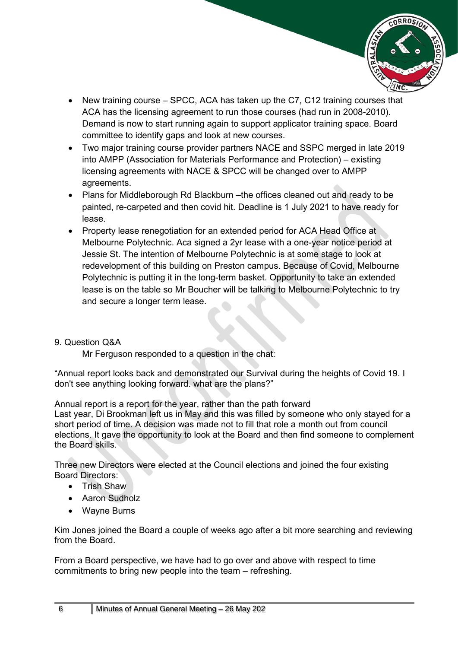

- New training course SPCC, ACA has taken up the C7, C12 training courses that ACA has the licensing agreement to run those courses (had run in 2008-2010). Demand is now to start running again to support applicator training space. Board committee to identify gaps and look at new courses.
- Two major training course provider partners NACE and SSPC merged in late 2019 into AMPP (Association for Materials Performance and Protection) – existing licensing agreements with NACE & SPCC will be changed over to AMPP agreements.
- Plans for Middleborough Rd Blackburn –the offices cleaned out and ready to be painted, re-carpeted and then covid hit. Deadline is 1 July 2021 to have ready for lease.
- Property lease renegotiation for an extended period for ACA Head Office at Melbourne Polytechnic. Aca signed a 2yr lease with a one-year notice period at Jessie St. The intention of Melbourne Polytechnic is at some stage to look at redevelopment of this building on Preston campus. Because of Covid, Melbourne Polytechnic is putting it in the long-term basket. Opportunity to take an extended lease is on the table so Mr Boucher will be talking to Melbourne Polytechnic to try and secure a longer term lease.

#### 9. Question Q&A

Mr Ferguson responded to a question in the chat:

"Annual report looks back and demonstrated our Survival during the heights of Covid 19. I don't see anything looking forward. what are the plans?"

Annual report is a report for the year, rather than the path forward Last year, Di Brookman left us in May and this was filled by someone who only stayed for a short period of time. A decision was made not to fill that role a month out from council elections. It gave the opportunity to look at the Board and then find someone to complement

Three new Directors were elected at the Council elections and joined the four existing Board Directors:

• Trish Shaw

the Board skills.

- Aaron Sudholz
- Wayne Burns

Kim Jones joined the Board a couple of weeks ago after a bit more searching and reviewing from the Board.

From a Board perspective, we have had to go over and above with respect to time commitments to bring new people into the team – refreshing.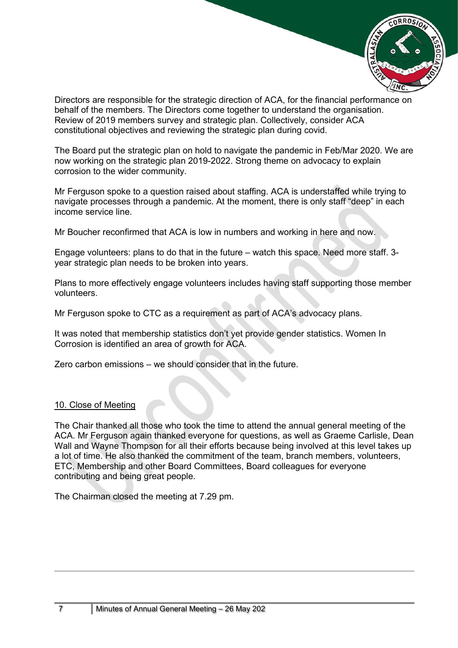

Directors are responsible for the strategic direction of ACA, for the financial performance on behalf of the members. The Directors come together to understand the organisation. Review of 2019 members survey and strategic plan. Collectively, consider ACA constitutional objectives and reviewing the strategic plan during covid.

The Board put the strategic plan on hold to navigate the pandemic in Feb/Mar 2020. We are now working on the strategic plan 2019-2022. Strong theme on advocacy to explain corrosion to the wider community.

Mr Ferguson spoke to a question raised about staffing. ACA is understaffed while trying to navigate processes through a pandemic. At the moment, there is only staff "deep" in each income service line.

Mr Boucher reconfirmed that ACA is low in numbers and working in here and now.

Engage volunteers: plans to do that in the future – watch this space. Need more staff. 3 year strategic plan needs to be broken into years.

Plans to more effectively engage volunteers includes having staff supporting those member volunteers.

Mr Ferguson spoke to CTC as a requirement as part of ACA's advocacy plans.

It was noted that membership statistics don't yet provide gender statistics. Women In Corrosion is identified an area of growth for ACA.

Zero carbon emissions – we should consider that in the future.

#### 10. Close of Meeting

The Chair thanked all those who took the time to attend the annual general meeting of the ACA. Mr Ferguson again thanked everyone for questions, as well as Graeme Carlisle, Dean Wall and Wayne Thompson for all their efforts because being involved at this level takes up a lot of time. He also thanked the commitment of the team, branch members, volunteers, ETC, Membership and other Board Committees, Board colleagues for everyone contributing and being great people.

The Chairman closed the meeting at 7.29 pm.